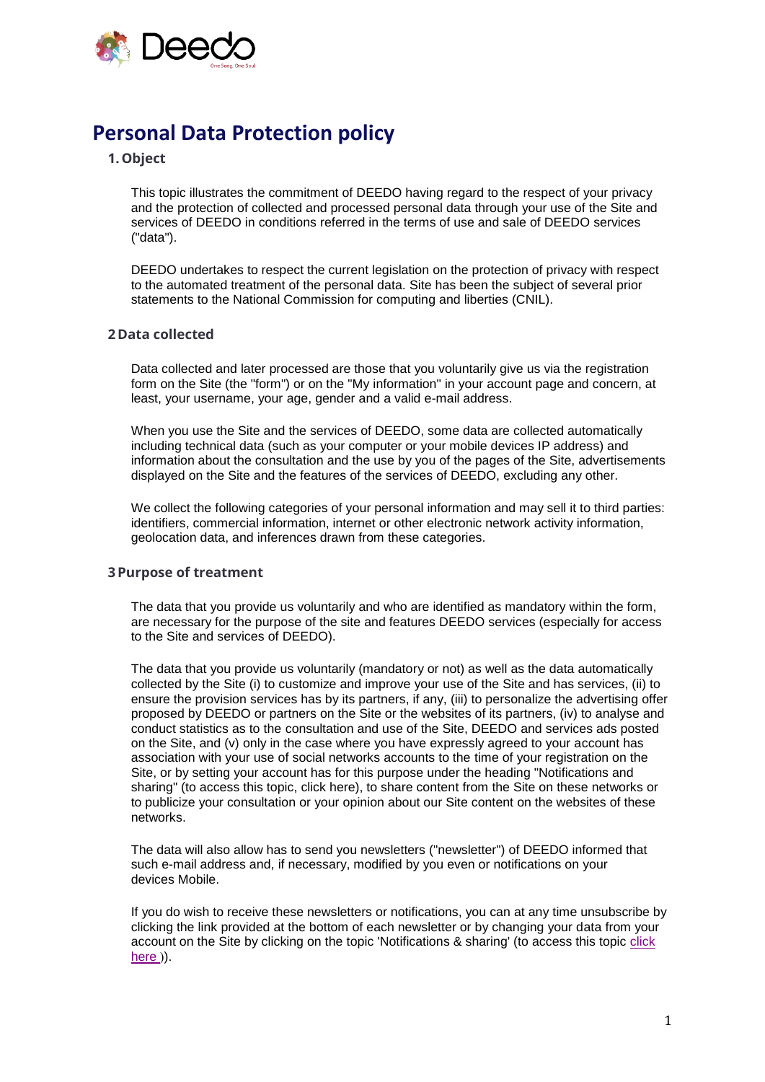

# **Personal Data Protection policy**

# **1.Object**

This topic illustrates the commitment of DEEDO having regard to the respect of your privacy and the protection of collected and processed personal data through your use of the Site and services of DEEDO in conditions referred in the terms of use and sale of DEEDO services ("data").

DEEDO undertakes to respect the current legislation on the protection of privacy with respect to the automated treatment of the personal data. Site has been the subject of several prior statements to the National Commission for computing and liberties (CNIL).

# **2Data collected**

Data collected and later processed are those that you voluntarily give us via the registration form on the Site (the "form") or on the "My information" in your account page and concern, at least, your username, your age, gender and a valid e-mail address.

When you use the Site and the services of DEEDO, some data are collected automatically including technical data (such as your computer or your mobile devices IP address) and information about the consultation and the use by you of the pages of the Site, advertisements displayed on the Site and the features of the services of DEEDO, excluding any other.

We collect the following categories of your personal information and may sell it to third parties: identifiers, commercial information, internet or other electronic network activity information, geolocation data, and inferences drawn from these categories.

### **3Purpose of treatment**

The data that you provide us voluntarily and who are identified as mandatory within the form, are necessary for the purpose of the site and features DEEDO services (especially for access to the Site and services of DEEDO).

The data that you provide us voluntarily (mandatory or not) as well as the data automatically collected by the Site (i) to customize and improve your use of the Site and has services, (ii) to ensure the provision services has by its partners, if any, (iii) to personalize the advertising offer proposed by DEEDO or partners on the Site or the websites of its partners, (iv) to analyse and conduct statistics as to the consultation and use of the Site, DEEDO and services ads posted on the Site, and (v) only in the case where you have expressly agreed to your account has association with your use of social networks accounts to the time of your registration on the Site, or by setting your account has for this purpose under the heading "Notifications and sharing" (to access this topic, click here), to share content from the Site on these networks or to publicize your consultation or your opinion about our Site content on the websites of these networks.

The data will also allow has to send you newsletters ("newsletter") of DEEDO informed that such e-mail address and, if necessary, modified by you even or notifications on your devices Mobile.

If you do wish to receive these newsletters or notifications, you can at any time unsubscribe by clicking the link provided at the bottom of each newsletter or by changing your data from your account on the Site by clicking on the topic 'Notifications & sharing' (to access this topic [click](http://www.deedo.io/my-account)  [here](http://www.deedo.io/my-account) )).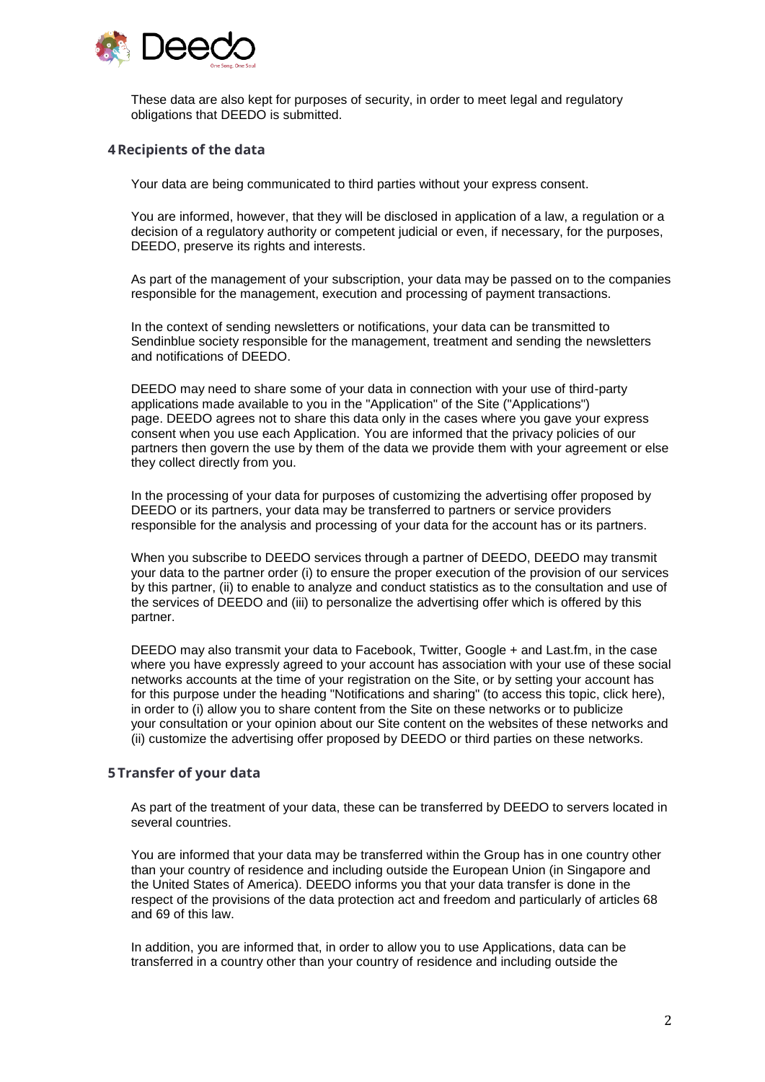

These data are also kept for purposes of security, in order to meet legal and regulatory obligations that DEEDO is submitted.

## **4Recipients of the data**

Your data are being communicated to third parties without your express consent.

You are informed, however, that they will be disclosed in application of a law, a regulation or a decision of a regulatory authority or competent judicial or even, if necessary, for the purposes, DEEDO, preserve its rights and interests.

As part of the management of your subscription, your data may be passed on to the companies responsible for the management, execution and processing of payment transactions.

In the context of sending newsletters or notifications, your data can be transmitted to Sendinblue society responsible for the management, treatment and sending the newsletters and notifications of DEEDO.

DEEDO may need to share some of your data in connection with your use of third-party applications made available to you in the "Application" of the Site ("Applications") page. DEEDO agrees not to share this data only in the cases where you gave your express consent when you use each Application. You are informed that the privacy policies of our partners then govern the use by them of the data we provide them with your agreement or else they collect directly from you.

In the processing of your data for purposes of customizing the advertising offer proposed by DEEDO or its partners, your data may be transferred to partners or service providers responsible for the analysis and processing of your data for the account has or its partners.

When you subscribe to DEEDO services through a partner of DEEDO, DEEDO may transmit your data to the partner order (i) to ensure the proper execution of the provision of our services by this partner, (ii) to enable to analyze and conduct statistics as to the consultation and use of the services of DEEDO and (iii) to personalize the advertising offer which is offered by this partner.

DEEDO may also transmit your data to Facebook, Twitter, Google + and Last.fm, in the case where you have expressly agreed to your account has association with your use of these social networks accounts at the time of your registration on the Site, or by setting your account has for this purpose under the heading "Notifications and sharing" (to access this topic, click here), in order to (i) allow you to share content from the Site on these networks or to publicize your consultation or your opinion about our Site content on the websites of these networks and (ii) customize the advertising offer proposed by DEEDO or third parties on these networks.

### **5 Transfer of your data**

As part of the treatment of your data, these can be transferred by DEEDO to servers located in several countries.

You are informed that your data may be transferred within the Group has in one country other than your country of residence and including outside the European Union (in Singapore and the United States of America). DEEDO informs you that your data transfer is done in the respect of the provisions of the data protection act and freedom and particularly of articles 68 and 69 of this law.

In addition, you are informed that, in order to allow you to use Applications, data can be transferred in a country other than your country of residence and including outside the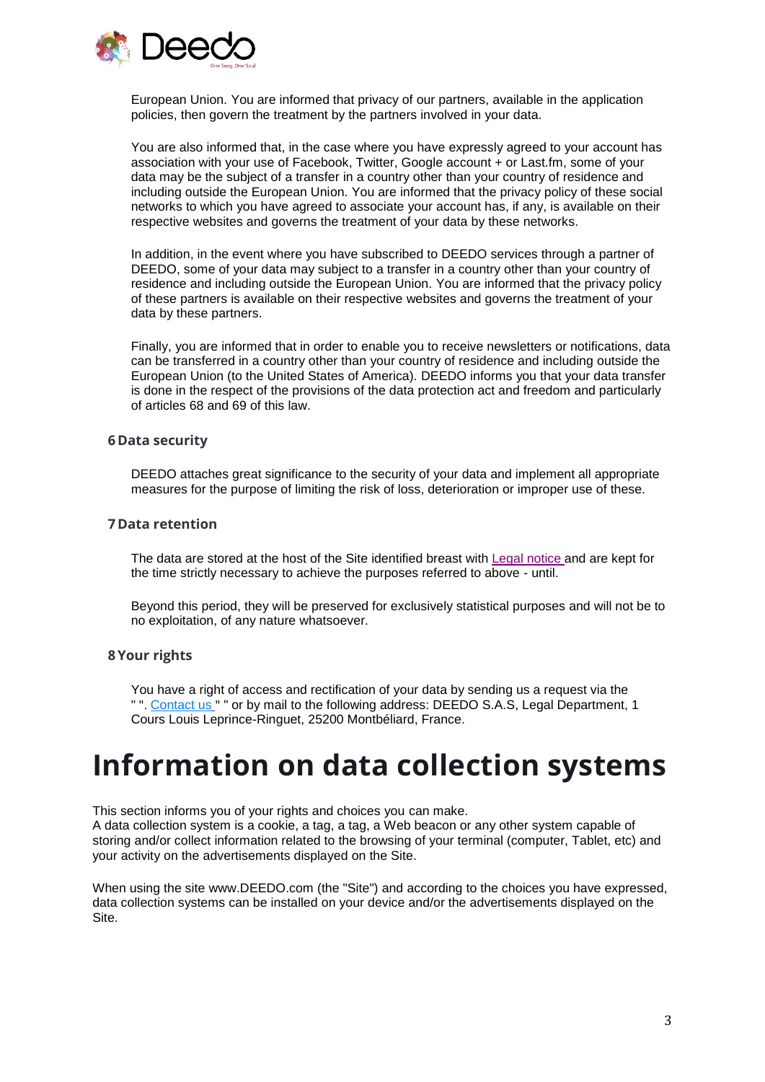

European Union. You are informed that privacy of our partners, available in the application policies, then govern the treatment by the partners involved in your data.

You are also informed that, in the case where you have expressly agreed to your account has association with your use of Facebook, Twitter, Google account + or Last.fm, some of your data may be the subject of a transfer in a country other than your country of residence and including outside the European Union. You are informed that the privacy policy of these social networks to which you have agreed to associate your account has, if any, is available on their respective websites and governs the treatment of your data by these networks.

In addition, in the event where you have subscribed to DEEDO services through a partner of DEEDO, some of your data may subject to a transfer in a country other than your country of residence and including outside the European Union. You are informed that the privacy policy of these partners is available on their respective websites and governs the treatment of your data by these partners.

Finally, you are informed that in order to enable you to receive newsletters or notifications, data can be transferred in a country other than your country of residence and including outside the European Union (to the United States of America). DEEDO informs you that your data transfer is done in the respect of the provisions of the data protection act and freedom and particularly of articles 68 and 69 of this law.

#### **6Data security**

DEEDO attaches great significance to the security of your data and implement all appropriate measures for the purpose of limiting the risk of loss, deterioration or improper use of these.

#### **7Data retention**

The data are stored at the host of the Site identified breast with [Legal notice](https://deedo.io/legal/deedo-en-legal.pdf) and are kept for the time strictly necessary to achieve the purposes referred to above - until.

Beyond this period, they will be preserved for exclusively statistical purposes and will not be to no exploitation, of any nature whatsoever.

#### **8Your rights**

You have a right of access and rectification of your data by sending us a request via the " ". [Contact us](https://deedo.io/contact) " " or by mail to the following address: DEEDO S.A.S, Legal Department, 1 Cours Louis Leprince-Ringuet, 25200 Montbéliard, France.

# **Information on data collection systems**

This section informs you of your rights and choices you can make.

A data collection system is a cookie, a tag, a tag, a Web beacon or any other system capable of storing and/or collect information related to the browsing of your terminal (computer, Tablet, etc) and your activity on the advertisements displayed on the Site.

When using the site www.DEEDO.com (the "Site") and according to the choices you have expressed, data collection systems can be installed on your device and/or the advertisements displayed on the Site.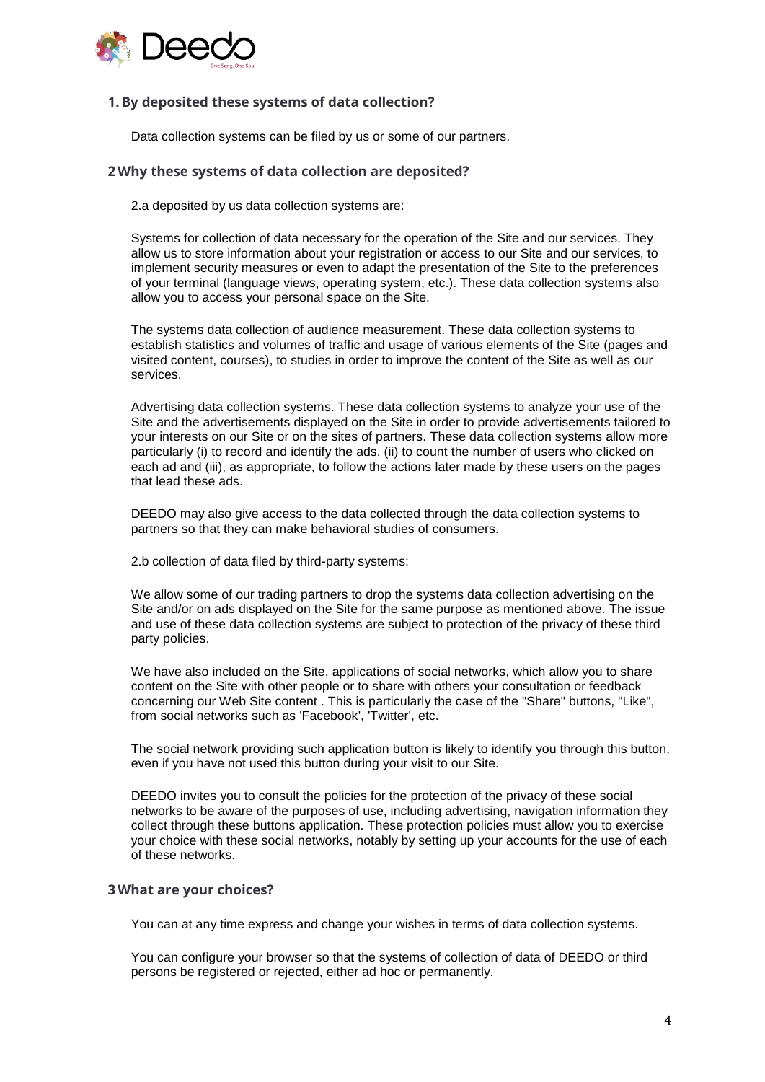

# **1.By deposited these systems of data collection?**

Data collection systems can be filed by us or some of our partners.

### **2Why these systems of data collection are deposited?**

2.a deposited by us data collection systems are:

Systems for collection of data necessary for the operation of the Site and our services. They allow us to store information about your registration or access to our Site and our services, to implement security measures or even to adapt the presentation of the Site to the preferences of your terminal (language views, operating system, etc.). These data collection systems also allow you to access your personal space on the Site.

The systems data collection of audience measurement. These data collection systems to establish statistics and volumes of traffic and usage of various elements of the Site (pages and visited content, courses), to studies in order to improve the content of the Site as well as our services.

Advertising data collection systems. These data collection systems to analyze your use of the Site and the advertisements displayed on the Site in order to provide advertisements tailored to your interests on our Site or on the sites of partners. These data collection systems allow more particularly (i) to record and identify the ads, (ii) to count the number of users who clicked on each ad and (iii), as appropriate, to follow the actions later made by these users on the pages that lead these ads.

DEEDO may also give access to the data collected through the data collection systems to partners so that they can make behavioral studies of consumers.

2.b collection of data filed by third-party systems:

We allow some of our trading partners to drop the systems data collection advertising on the Site and/or on ads displayed on the Site for the same purpose as mentioned above. The issue and use of these data collection systems are subject to protection of the privacy of these third party policies.

We have also included on the Site, applications of social networks, which allow you to share content on the Site with other people or to share with others your consultation or feedback concerning our Web Site content . This is particularly the case of the "Share" buttons, "Like", from social networks such as 'Facebook', 'Twitter', etc.

The social network providing such application button is likely to identify you through this button, even if you have not used this button during your visit to our Site.

DEEDO invites you to consult the policies for the protection of the privacy of these social networks to be aware of the purposes of use, including advertising, navigation information they collect through these buttons application. These protection policies must allow you to exercise your choice with these social networks, notably by setting up your accounts for the use of each of these networks.

#### **3What are your choices?**

You can at any time express and change your wishes in terms of data collection systems.

You can configure your browser so that the systems of collection of data of DEEDO or third persons be registered or rejected, either ad hoc or permanently.